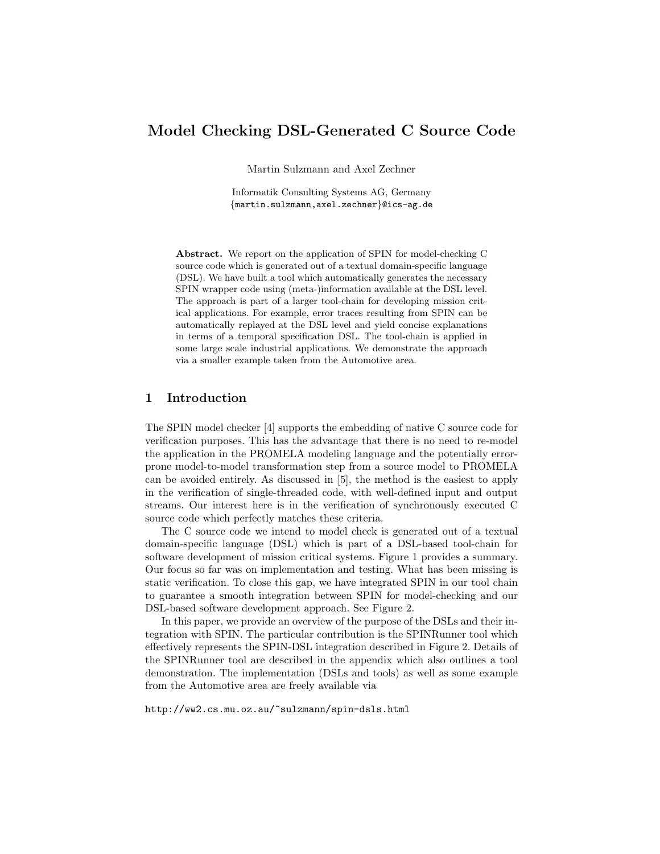# Model Checking DSL-Generated C Source Code

Martin Sulzmann and Axel Zechner

Informatik Consulting Systems AG, Germany {martin.sulzmann,axel.zechner}@ics-ag.de

Abstract. We report on the application of SPIN for model-checking C source code which is generated out of a textual domain-specific language (DSL). We have built a tool which automatically generates the necessary SPIN wrapper code using (meta-)information available at the DSL level. The approach is part of a larger tool-chain for developing mission critical applications. For example, error traces resulting from SPIN can be automatically replayed at the DSL level and yield concise explanations in terms of a temporal specification DSL. The tool-chain is applied in some large scale industrial applications. We demonstrate the approach via a smaller example taken from the Automotive area.

# 1 Introduction

The SPIN model checker [4] supports the embedding of native C source code for verification purposes. This has the advantage that there is no need to re-model the application in the PROMELA modeling language and the potentially errorprone model-to-model transformation step from a source model to PROMELA can be avoided entirely. As discussed in [5], the method is the easiest to apply in the verification of single-threaded code, with well-defined input and output streams. Our interest here is in the verification of synchronously executed C source code which perfectly matches these criteria.

The C source code we intend to model check is generated out of a textual domain-specific language (DSL) which is part of a DSL-based tool-chain for software development of mission critical systems. Figure 1 provides a summary. Our focus so far was on implementation and testing. What has been missing is static verification. To close this gap, we have integrated SPIN in our tool chain to guarantee a smooth integration between SPIN for model-checking and our DSL-based software development approach. See Figure 2.

In this paper, we provide an overview of the purpose of the DSLs and their integration with SPIN. The particular contribution is the SPINRunner tool which effectively represents the SPIN-DSL integration described in Figure 2. Details of the SPINRunner tool are described in the appendix which also outlines a tool demonstration. The implementation (DSLs and tools) as well as some example from the Automotive area are freely available via

http://ww2.cs.mu.oz.au/~sulzmann/spin-dsls.html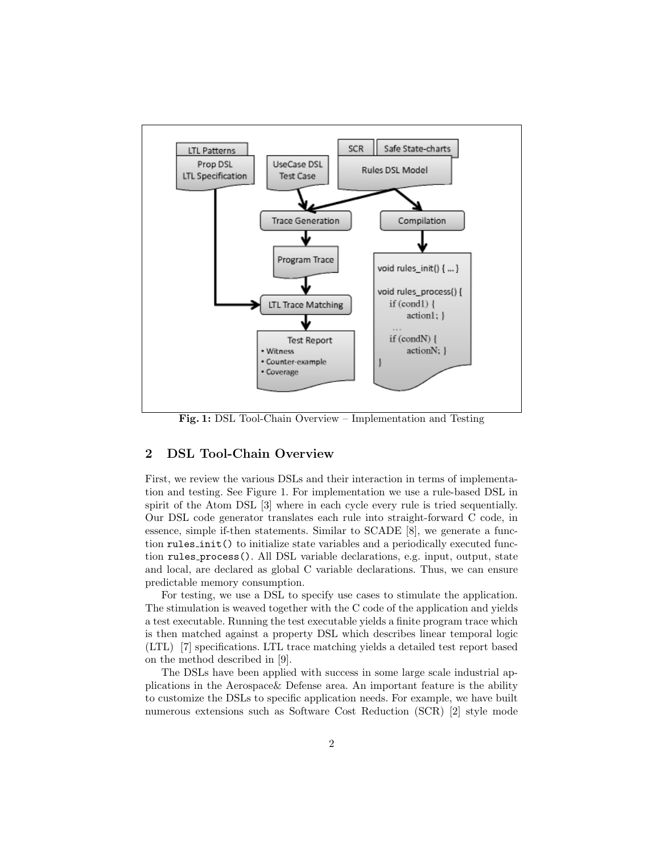

Fig. 1: DSL Tool-Chain Overview – Implementation and Testing

## 2 DSL Tool-Chain Overview

First, we review the various DSLs and their interaction in terms of implementation and testing. See Figure 1. For implementation we use a rule-based DSL in spirit of the Atom DSL [3] where in each cycle every rule is tried sequentially. Our DSL code generator translates each rule into straight-forward C code, in essence, simple if-then statements. Similar to SCADE [8], we generate a function rules init() to initialize state variables and a periodically executed function rules process(). All DSL variable declarations, e.g. input, output, state and local, are declared as global C variable declarations. Thus, we can ensure predictable memory consumption.

For testing, we use a DSL to specify use cases to stimulate the application. The stimulation is weaved together with the C code of the application and yields a test executable. Running the test executable yields a finite program trace which is then matched against a property DSL which describes linear temporal logic (LTL) [7] specifications. LTL trace matching yields a detailed test report based on the method described in [9].

The DSLs have been applied with success in some large scale industrial applications in the Aerospace& Defense area. An important feature is the ability to customize the DSLs to specific application needs. For example, we have built numerous extensions such as Software Cost Reduction (SCR) [2] style mode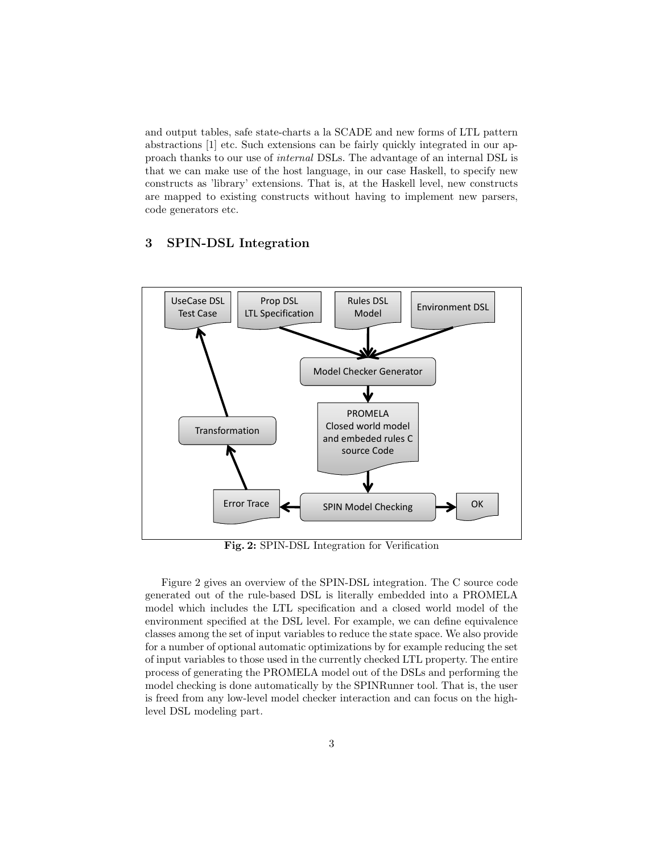and output tables, safe state-charts a la SCADE and new forms of LTL pattern abstractions [1] etc. Such extensions can be fairly quickly integrated in our approach thanks to our use of internal DSLs. The advantage of an internal DSL is that we can make use of the host language, in our case Haskell, to specify new constructs as 'library' extensions. That is, at the Haskell level, new constructs are mapped to existing constructs without having to implement new parsers, code generators etc.

# 3 SPIN-DSL Integration



Fig. 2: SPIN-DSL Integration for Verification

Figure 2 gives an overview of the SPIN-DSL integration. The C source code generated out of the rule-based DSL is literally embedded into a PROMELA model which includes the LTL specification and a closed world model of the environment specified at the DSL level. For example, we can define equivalence classes among the set of input variables to reduce the state space. We also provide for a number of optional automatic optimizations by for example reducing the set of input variables to those used in the currently checked LTL property. The entire process of generating the PROMELA model out of the DSLs and performing the model checking is done automatically by the SPINRunner tool. That is, the user is freed from any low-level model checker interaction and can focus on the highlevel DSL modeling part.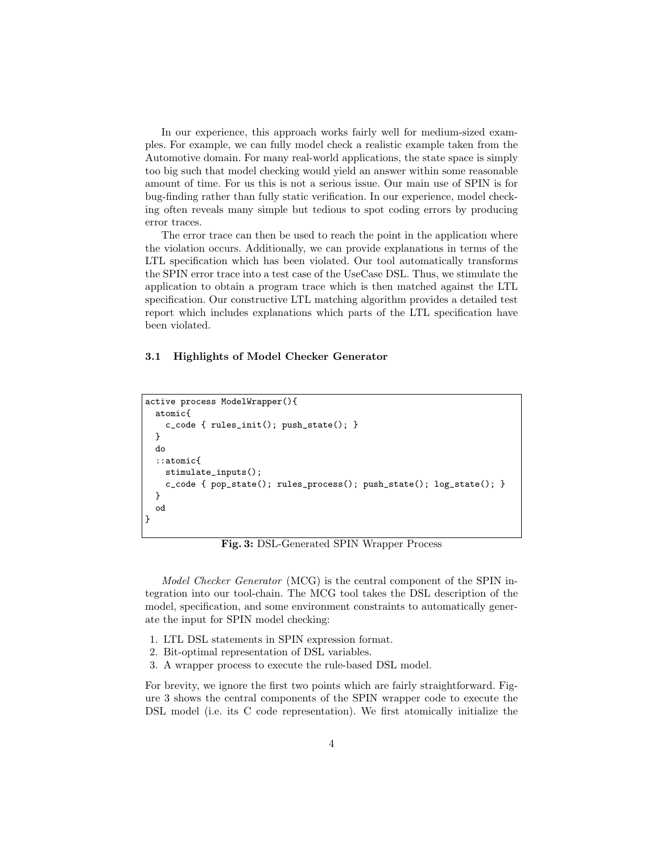In our experience, this approach works fairly well for medium-sized examples. For example, we can fully model check a realistic example taken from the Automotive domain. For many real-world applications, the state space is simply too big such that model checking would yield an answer within some reasonable amount of time. For us this is not a serious issue. Our main use of SPIN is for bug-finding rather than fully static verification. In our experience, model checking often reveals many simple but tedious to spot coding errors by producing error traces.

The error trace can then be used to reach the point in the application where the violation occurs. Additionally, we can provide explanations in terms of the LTL specification which has been violated. Our tool automatically transforms the SPIN error trace into a test case of the UseCase DSL. Thus, we stimulate the application to obtain a program trace which is then matched against the LTL specification. Our constructive LTL matching algorithm provides a detailed test report which includes explanations which parts of the LTL specification have been violated.

#### 3.1 Highlights of Model Checker Generator

```
active process ModelWrapper(){
  atomic{
    c_code { rules_init(); push_state(); }
 }
 do
  ::atomic{
    stimulate_inputs();
    c_code { pop\_state(); rules_process(); push\_state(); log\_state(); }
 }
  od
}
```
Fig. 3: DSL-Generated SPIN Wrapper Process

Model Checker Generator (MCG) is the central component of the SPIN integration into our tool-chain. The MCG tool takes the DSL description of the model, specification, and some environment constraints to automatically generate the input for SPIN model checking:

- 1. LTL DSL statements in SPIN expression format.
- 2. Bit-optimal representation of DSL variables.
- 3. A wrapper process to execute the rule-based DSL model.

For brevity, we ignore the first two points which are fairly straightforward. Figure 3 shows the central components of the SPIN wrapper code to execute the DSL model (i.e. its C code representation). We first atomically initialize the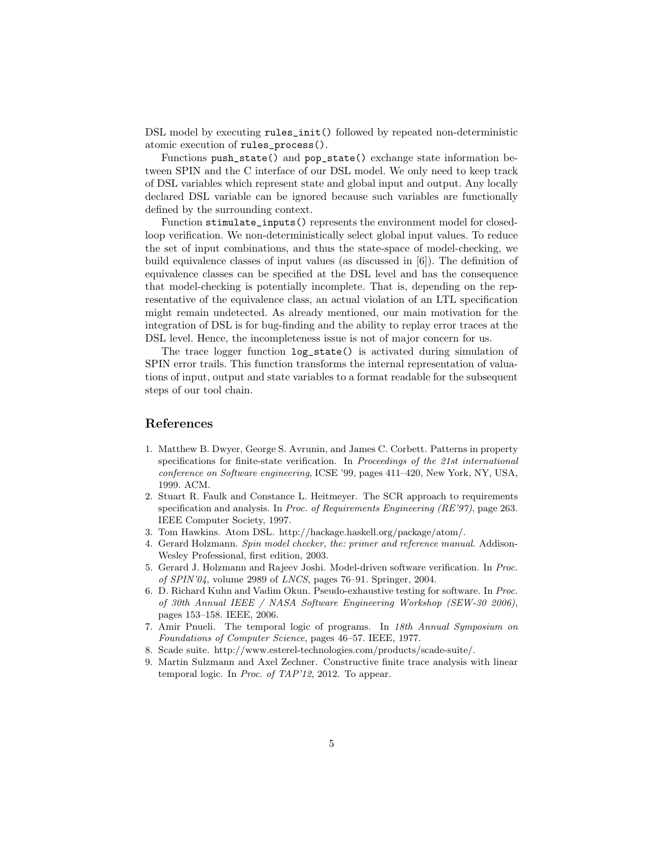DSL model by executing rules\_init() followed by repeated non-deterministic atomic execution of rules\_process().

Functions push\_state() and pop\_state() exchange state information between SPIN and the C interface of our DSL model. We only need to keep track of DSL variables which represent state and global input and output. Any locally declared DSL variable can be ignored because such variables are functionally defined by the surrounding context.

Function stimulate\_inputs() represents the environment model for closedloop verification. We non-deterministically select global input values. To reduce the set of input combinations, and thus the state-space of model-checking, we build equivalence classes of input values (as discussed in [6]). The definition of equivalence classes can be specified at the DSL level and has the consequence that model-checking is potentially incomplete. That is, depending on the representative of the equivalence class, an actual violation of an LTL specification might remain undetected. As already mentioned, our main motivation for the integration of DSL is for bug-finding and the ability to replay error traces at the DSL level. Hence, the incompleteness issue is not of major concern for us.

The trace logger function log\_state() is activated during simulation of SPIN error trails. This function transforms the internal representation of valuations of input, output and state variables to a format readable for the subsequent steps of our tool chain.

# References

- 1. Matthew B. Dwyer, George S. Avrunin, and James C. Corbett. Patterns in property specifications for finite-state verification. In *Proceedings of the 21st international* conference on Software engineering, ICSE '99, pages 411–420, New York, NY, USA, 1999. ACM.
- 2. Stuart R. Faulk and Constance L. Heitmeyer. The SCR approach to requirements specification and analysis. In Proc. of Requirements Engineering  $(RE'97)$ , page 263. IEEE Computer Society, 1997.
- 3. Tom Hawkins. Atom DSL. http://hackage.haskell.org/package/atom/.
- 4. Gerard Holzmann. Spin model checker, the: primer and reference manual. Addison-Wesley Professional, first edition, 2003.
- 5. Gerard J. Holzmann and Rajeev Joshi. Model-driven software verification. In Proc. of SPIN'04, volume 2989 of LNCS, pages 76–91. Springer, 2004.
- 6. D. Richard Kuhn and Vadim Okun. Pseudo-exhaustive testing for software. In Proc. of 30th Annual IEEE / NASA Software Engineering Workshop (SEW-30 2006), pages 153–158. IEEE, 2006.
- 7. Amir Pnueli. The temporal logic of programs. In 18th Annual Symposium on Foundations of Computer Science, pages 46–57. IEEE, 1977.
- 8. Scade suite. http://www.esterel-technologies.com/products/scade-suite/.
- 9. Martin Sulzmann and Axel Zechner. Constructive finite trace analysis with linear temporal logic. In Proc. of TAP'12, 2012. To appear.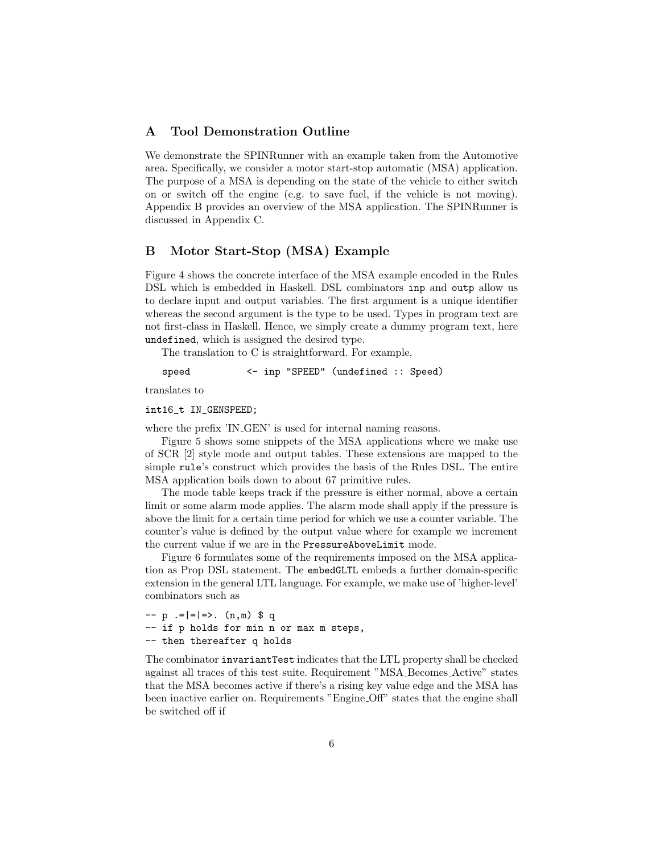# A Tool Demonstration Outline

We demonstrate the SPINRunner with an example taken from the Automotive area. Specifically, we consider a motor start-stop automatic (MSA) application. The purpose of a MSA is depending on the state of the vehicle to either switch on or switch off the engine (e.g. to save fuel, if the vehicle is not moving). Appendix B provides an overview of the MSA application. The SPINRunner is discussed in Appendix C.

# B Motor Start-Stop (MSA) Example

Figure 4 shows the concrete interface of the MSA example encoded in the Rules DSL which is embedded in Haskell. DSL combinators inp and outp allow us to declare input and output variables. The first argument is a unique identifier whereas the second argument is the type to be used. Types in program text are not first-class in Haskell. Hence, we simply create a dummy program text, here undefined, which is assigned the desired type.

The translation to C is straightforward. For example,

speed <- inp "SPEED" (undefined :: Speed)

translates to

int16\_t IN\_GENSPEED;

where the prefix 'IN\_GEN' is used for internal naming reasons.

Figure 5 shows some snippets of the MSA applications where we make use of SCR [2] style mode and output tables. These extensions are mapped to the simple rule's construct which provides the basis of the Rules DSL. The entire MSA application boils down to about 67 primitive rules.

The mode table keeps track if the pressure is either normal, above a certain limit or some alarm mode applies. The alarm mode shall apply if the pressure is above the limit for a certain time period for which we use a counter variable. The counter's value is defined by the output value where for example we increment the current value if we are in the PressureAboveLimit mode.

Figure 6 formulates some of the requirements imposed on the MSA application as Prop DSL statement. The embedGLTL embeds a further domain-specific extension in the general LTL language. For example, we make use of 'higher-level' combinators such as

```
- p :=|=|=>. (n,m) $ q
-- if p holds for min n or max m steps,
-- then thereafter q holds
```
The combinator invariantTest indicates that the LTL property shall be checked against all traces of this test suite. Requirement "MSA Becomes Active" states that the MSA becomes active if there's a rising key value edge and the MSA has been inactive earlier on. Requirements "Engine Off" states that the engine shall be switched off if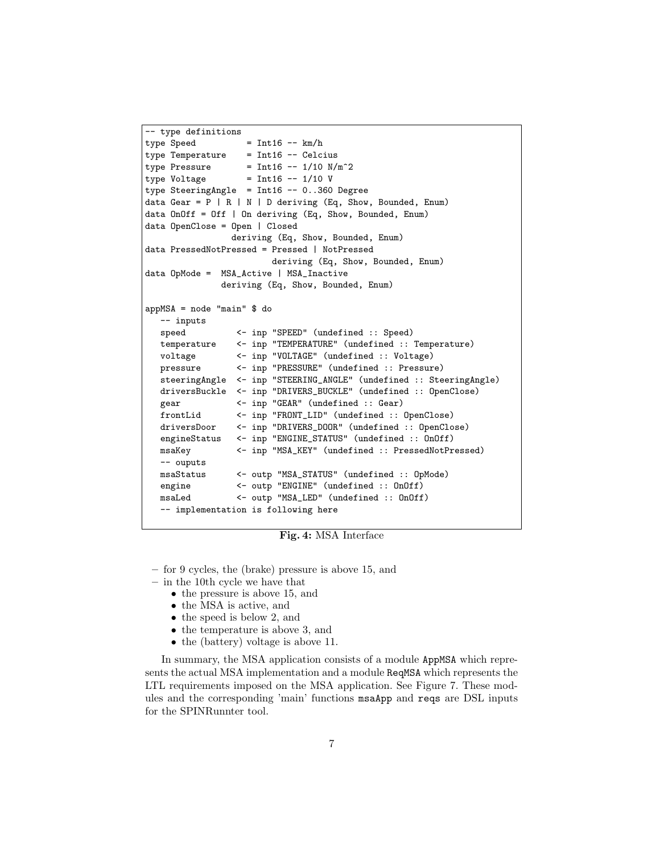```
-- type definitions
type Speed = Int16 - - km/htype Temperature = Int16 -- Celcius
type Pressure = Int16 - -1/10 N/m^2type Voltage = Int16 -- 1/10 V
type SteeringAngle = Int16 -- 0..360 Degree
data Gear = P | R | N | D deriving (Eq, Show, Bounded, Enum)
data OnOff = Off | On deriving (Eq, Show, Bounded, Enum)
data OpenClose = Open | Closed
               deriving (Eq, Show, Bounded, Enum)
data PressedNotPressed = Pressed | NotPressed
                       deriving (Eq, Show, Bounded, Enum)
data OpMode = MSA_Active | MSA_Inactive
             deriving (Eq, Show, Bounded, Enum)
appMSA = node "main" $ do
  -- inputs
  speed <- inp "SPEED" (undefined :: Speed)
  temperature <- inp "TEMPERATURE" (undefined :: Temperature)
  voltage <- inp "VOLTAGE" (undefined :: Voltage)
  pressure <- inp "PRESSURE" (undefined :: Pressure)
  steeringAngle <- inp "STEERING_ANGLE" (undefined :: SteeringAngle)
  driversBuckle <- inp "DRIVERS_BUCKLE" (undefined :: OpenClose)
  gear <- inp "GEAR" (undefined :: Gear)
  frontLid <- inp "FRONT_LID" (undefined :: OpenClose)
  driversDoor <- inp "DRIVERS_DOOR" (undefined :: OpenClose)
  engineStatus <- inp "ENGINE_STATUS" (undefined :: 0n0ff)
  msaKey <- inp "MSA_KEY" (undefined :: PressedNotPressed)
  -- ouputs
  msaStatus <- outp "MSA_STATUS" (undefined :: OpMode)
  engine <- outp "ENGINE" (undefined :: OnOff)
  msaLed <- outp "MSA_LED" (undefined :: OnOff)
  -- implementation is following here
```
Fig. 4: MSA Interface

- for 9 cycles, the (brake) pressure is above 15, and
- in the 10th cycle we have that
	- the pressure is above 15, and
	- the MSA is active, and
	- the speed is below 2, and
	- the temperature is above 3, and
	- the (battery) voltage is above 11.

In summary, the MSA application consists of a module AppMSA which represents the actual MSA implementation and a module ReqMSA which represents the LTL requirements imposed on the MSA application. See Figure 7. These modules and the corresponding 'main' functions msaApp and reqs are DSL inputs for the SPINRunnter tool.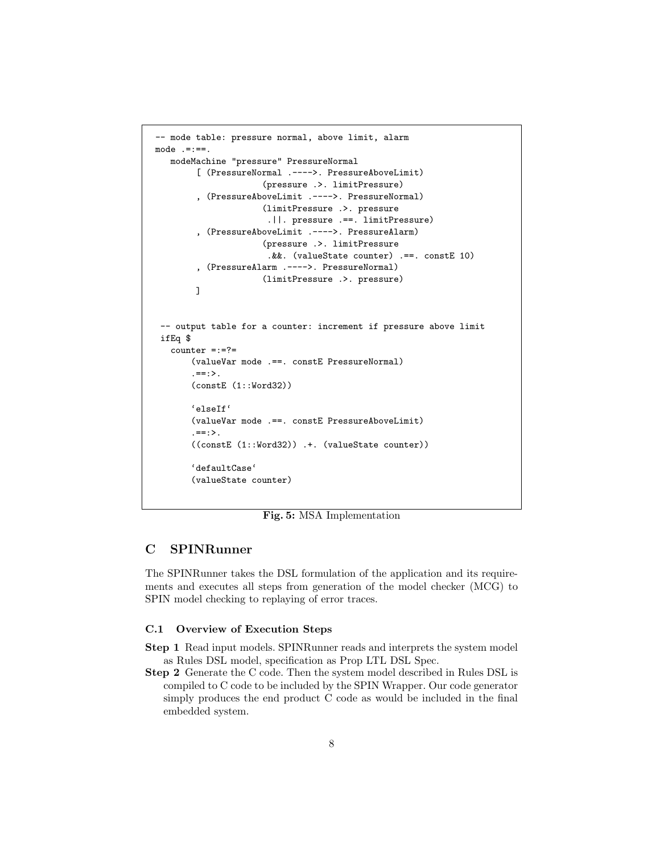```
-- mode table: pressure normal, above limit, alarm
mode .=:==.
   modeMachine "pressure" PressureNormal
        [ (PressureNormal .---->. PressureAboveLimit)
                      (pressure .>. limitPressure)
        , (PressureAboveLimit .---->. PressureNormal)
                      (limitPressure .>. pressure
                       .||. pressure .==. limitPressure)
         , (PressureAboveLimit .---->. PressureAlarm)
                      (pressure .>. limitPressure
                       .&&. (valueState counter) .==. constE 10)
         , (PressureAlarm .---->. PressureNormal)
                      (limitPressure .>. pressure)
        ]
 -- output table for a counter: increment if pressure above limit
 ifEq $
   counter =:=?=
       (valueVar mode .==. constE PressureNormal)
       .==:>.
       (constE (1::Word32))
       'elseIf'
       (valueVar mode .==. constE PressureAboveLimit)
       . == : >.((constE (1::Word32)) .+. (valueState counter))
       'defaultCase'
       (valueState counter)
```
Fig. 5: MSA Implementation

# C SPINRunner

The SPINRunner takes the DSL formulation of the application and its requirements and executes all steps from generation of the model checker (MCG) to SPIN model checking to replaying of error traces.

#### C.1 Overview of Execution Steps

- Step 1 Read input models. SPINRunner reads and interprets the system model as Rules DSL model, specification as Prop LTL DSL Spec.
- Step 2 Generate the C code. Then the system model described in Rules DSL is compiled to C code to be included by the SPIN Wrapper. Our code generator simply produces the end product C code as would be included in the final embedded system.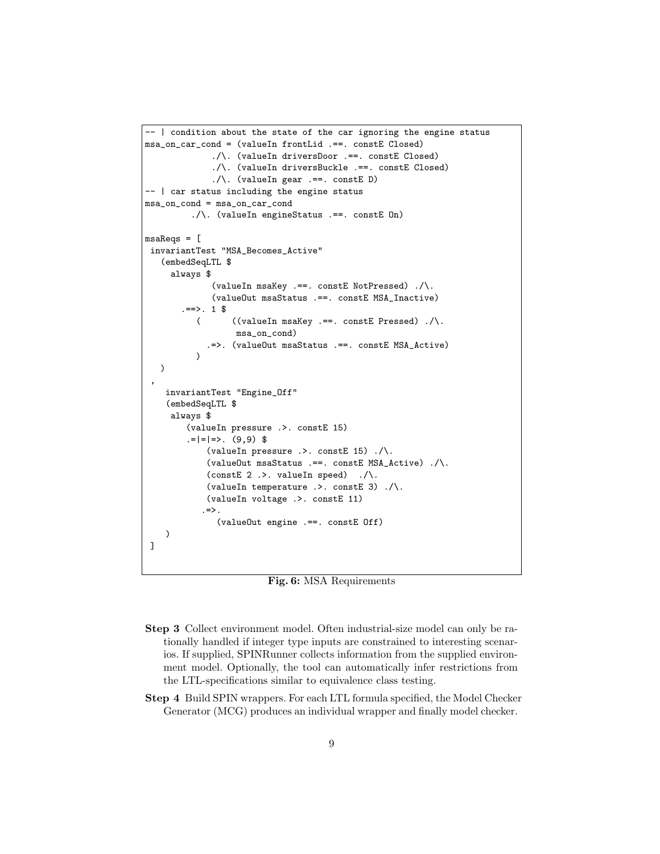```
-- | condition about the state of the car ignoring the engine status
msa_on_car_cond = (valueIn frontLid .==. constE Closed)
             ./\. (valueIn driversDoor .==. constE Closed)
             ./\. (valueIn driversBuckle .==. constE Closed)
             . / \backslash. (valueIn gear . ==. constE D)
-- | car status including the engine status
msa_on_cond = msa_on_car_cond
         ./\. (valueIn engineStatus .==. constE On)
msaReqs = [invariantTest "MSA_Becomes_Active"
   (embedSeqLTL $
     always $
             (valueIn msaKey .==. constE NotPressed) ./\.
             (valueOut msaStatus .==. constE MSA_Inactive)
       :==>. 1 $
          ( ((valueIn msaKey .==. constE Pressed) ./\.
                  msa_on_cond)
            .=>. (valueOut msaStatus .==. constE MSA_Active)
          )
   )
 ,
    invariantTest "Engine_Off"
    (embedSeqLTL $
     always $
        (valueIn pressure .>. constE 15)
        |-|=|=>. (9,9) $
            (valueIn pressure .>. constE 15) ./\.
            (valueOut msaStatus .==. constE MSA_Active) ./\.
            (constE 2 .>. valueIn speed) ./\.
            (valueIn temperature .>. constE 3) ./\.
            (valueIn voltage .>. constE 11)
           \Rightarrow.
              (valueOut engine .==. constE Off)
    )
]
```
# Fig. 6: MSA Requirements

- Step 3 Collect environment model. Often industrial-size model can only be rationally handled if integer type inputs are constrained to interesting scenarios. If supplied, SPINRunner collects information from the supplied environment model. Optionally, the tool can automatically infer restrictions from the LTL-specifications similar to equivalence class testing.
- Step 4 Build SPIN wrappers. For each LTL formula specified, the Model Checker Generator (MCG) produces an individual wrapper and finally model checker.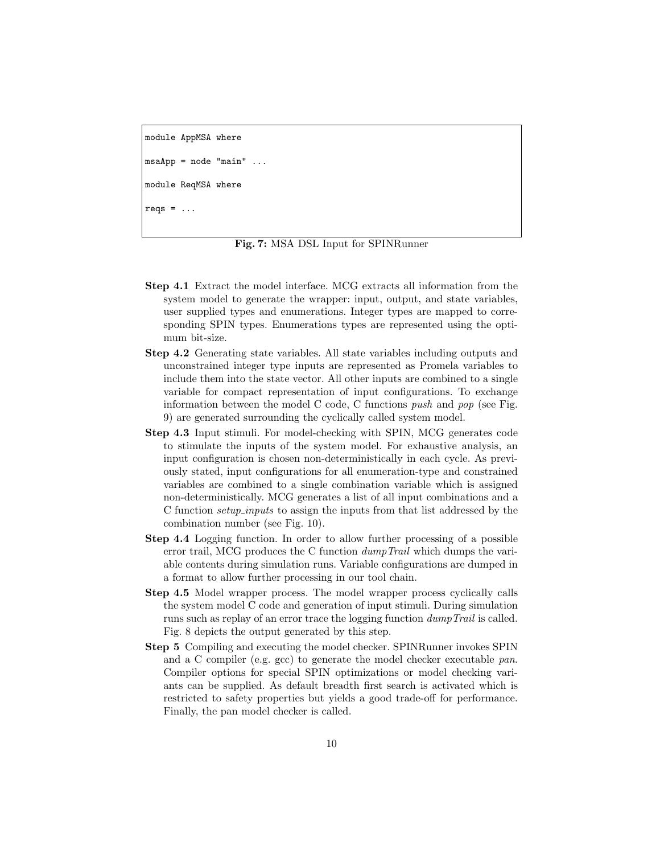```
module AppMSA where
msaApp = node "main"module ReqMSA where
reqs = \dots
```
Fig. 7: MSA DSL Input for SPINRunner

- Step 4.1 Extract the model interface. MCG extracts all information from the system model to generate the wrapper: input, output, and state variables, user supplied types and enumerations. Integer types are mapped to corresponding SPIN types. Enumerations types are represented using the optimum bit-size.
- Step 4.2 Generating state variables. All state variables including outputs and unconstrained integer type inputs are represented as Promela variables to include them into the state vector. All other inputs are combined to a single variable for compact representation of input configurations. To exchange information between the model C code, C functions *push* and  $pop$  (see Fig. 9) are generated surrounding the cyclically called system model.
- Step 4.3 Input stimuli. For model-checking with SPIN, MCG generates code to stimulate the inputs of the system model. For exhaustive analysis, an input configuration is chosen non-deterministically in each cycle. As previously stated, input configurations for all enumeration-type and constrained variables are combined to a single combination variable which is assigned non-deterministically. MCG generates a list of all input combinations and a C function setup inputs to assign the inputs from that list addressed by the combination number (see Fig. 10).
- Step 4.4 Logging function. In order to allow further processing of a possible error trail, MCG produces the C function dumpTrail which dumps the variable contents during simulation runs. Variable configurations are dumped in a format to allow further processing in our tool chain.
- Step 4.5 Model wrapper process. The model wrapper process cyclically calls the system model C code and generation of input stimuli. During simulation runs such as replay of an error trace the logging function dumpTrail is called. Fig. 8 depicts the output generated by this step.
- Step 5 Compiling and executing the model checker. SPINRunner invokes SPIN and a C compiler (e.g. gcc) to generate the model checker executable pan. Compiler options for special SPIN optimizations or model checking variants can be supplied. As default breadth first search is activated which is restricted to safety properties but yields a good trade-off for performance. Finally, the pan model checker is called.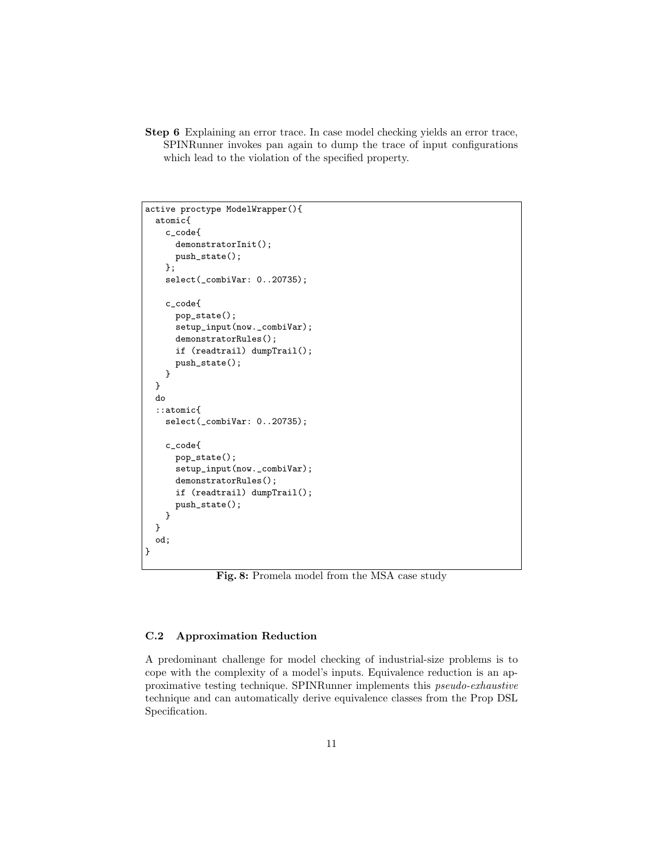Step 6 Explaining an error trace. In case model checking yields an error trace, SPINRunner invokes pan again to dump the trace of input configurations which lead to the violation of the specified property.

```
active proctype ModelWrapper(){
 atomic{
   c_code{
      demonstratorInit();
     push_state();
   };
    select(_combiVar: 0..20735);
   c_code{
     pop_state();
     setup_input(now._combiVar);
     demonstratorRules();
     if (readtrail) dumpTrail();
      push_state();
   }
 }
 do
  ::atomic{
   select(_combiVar: 0..20735);
   c_code{
     pop_state();
      setup_input(now._combiVar);
     demonstratorRules();
     if (readtrail) dumpTrail();
     push_state();
   }
 }
 od;
}
```
Fig. 8: Promela model from the MSA case study

### C.2 Approximation Reduction

A predominant challenge for model checking of industrial-size problems is to cope with the complexity of a model's inputs. Equivalence reduction is an approximative testing technique. SPINRunner implements this pseudo-exhaustive technique and can automatically derive equivalence classes from the Prop DSL Specification.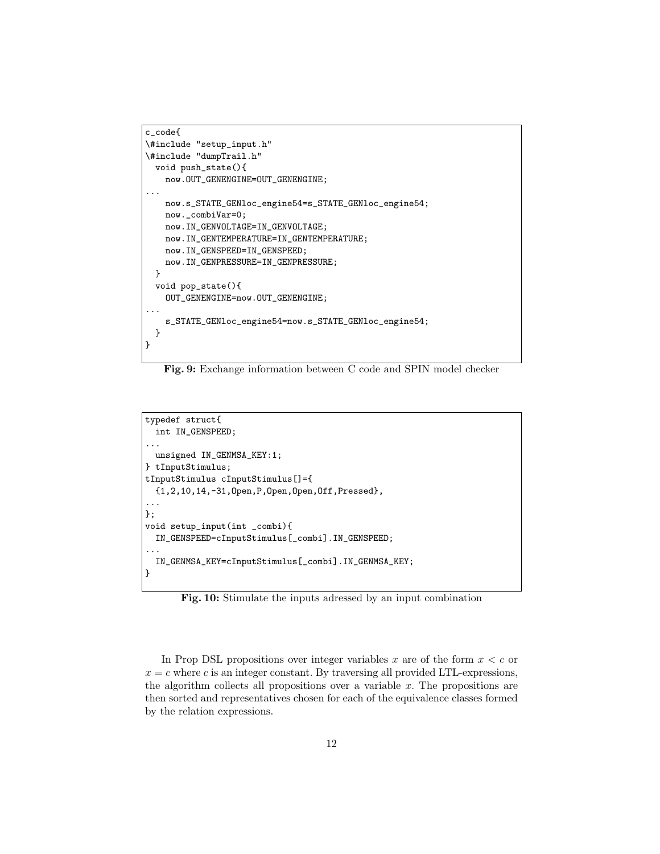```
c_code{
\#include "setup_input.h"
\#include "dumpTrail.h"
 void push_state(){
   now.OUT_GENENGINE=OUT_GENENGINE;
...
   now.s_STATE_GENloc_engine54=s_STATE_GENloc_engine54;
   now._combiVar=0;
   now.IN_GENVOLTAGE=IN_GENVOLTAGE;
   now.IN_GENTEMPERATURE=IN_GENTEMPERATURE;
   now.IN_GENSPEED=IN_GENSPEED;
   now.IN_GENPRESSURE=IN_GENPRESSURE;
 }
 void pop_state(){
   OUT_GENENGINE=now.OUT_GENENGINE;
...
    s_STATE_GENloc_engine54=now.s_STATE_GENloc_engine54;
 }
}
```
Fig. 9: Exchange information between C code and SPIN model checker

```
typedef struct{
 int IN_GENSPEED;
...
 unsigned IN_GENMSA_KEY:1;
} tInputStimulus;
tInputStimulus cInputStimulus[]={
 {1,2,10,14,-31,Open,P,Open,Open,Off,Pressed},
...
};
void setup_input(int _combi){
 IN_GENSPEED=cInputStimulus[_combi].IN_GENSPEED;
...
 IN_GENMSA_KEY=cInputStimulus[_combi].IN_GENMSA_KEY;
}
```
Fig. 10: Stimulate the inputs adressed by an input combination

In Prop DSL propositions over integer variables x are of the form  $x < c$  or  $x = c$  where c is an integer constant. By traversing all provided LTL-expressions, the algorithm collects all propositions over a variable  $x$ . The propositions are then sorted and representatives chosen for each of the equivalence classes formed by the relation expressions.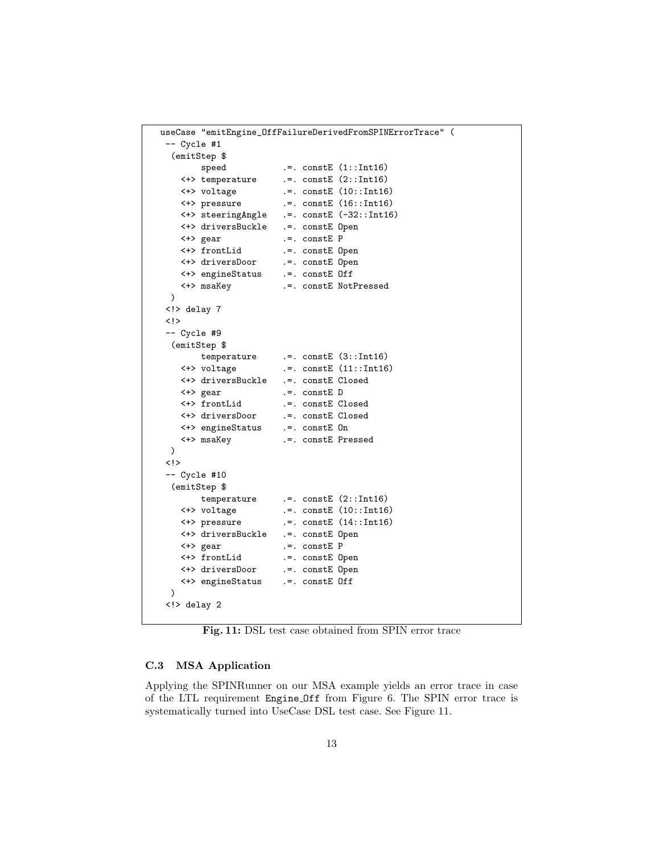```
useCase "emitEngine_OffFailureDerivedFromSPINErrorTrace" (
 -- Cycle #1
  (emitStep $
        speed :=. constE (1::Int16)<+> temperature .=. constE (2::Int16)
    <+> voltage .=. constE (10::Int16)
    <+> pressure .=. constE (16::Int16)
    <+> steeringAngle .=. constE (-32::Int16)
    <+> driversBuckle .=. constE Open
    <+> gear .=. constE P
    <+> frontLid .=. constE Open
    <+> driversDoor .=. constE Open
    <+> engineStatus
    <+> msaKey .=. constE NotPressed
 )
 <!> delay 7
 <!>
 -- Cycle #9
 (emitStep $
    temperature .=. constE (3::Int16)<br><+> voltage .=. constE (11::Int16
                         :=. constE (11::Int16)<+> driversBuckle .=. constE Closed
    <+> gear .=. constE D
    <+> frontLid .=. constE Closed
    <+> driversDoor .=. constE Closed
    <+> engineStatus<br><+> msaKey
                         .=. constE Pressed
 )
 <!>
 -- Cycle #10
 (emitStep $
   temperature .=. constE (2::Int16)<br> <+> voltage .=. constE (10::Int16
    \begin{tabular}{lllll} $\iff$ voltage & $\quad$.-. constE$ (10::Int16) \\ $\iff$ pressure & $\quad$.-. constE$ (14::Int16) \end{tabular}:=. constE (14::Int16)<+> driversBuckle .=. constE Open
    <+> gear .=. constE P
    <+> frontLid .=. constE Open
    <+> driversDoor .=. constE Open
    <+> engineStatus .=. constE Off
 )
 <!> delay 2
```
Fig. 11: DSL test case obtained from SPIN error trace

### C.3 MSA Application

Applying the SPINRunner on our MSA example yields an error trace in case of the LTL requirement Engine Off from Figure 6. The SPIN error trace is systematically turned into UseCase DSL test case. See Figure 11.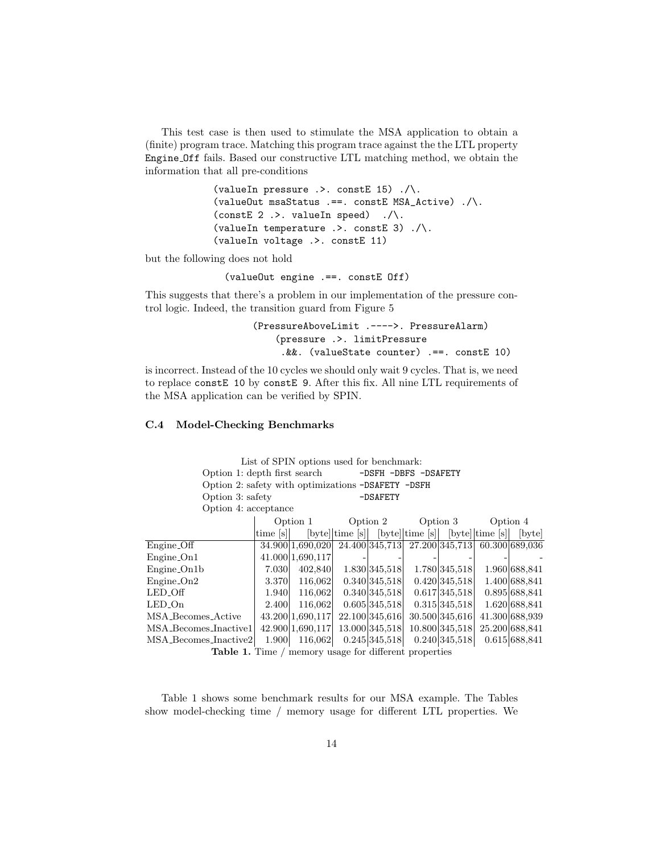This test case is then used to stimulate the MSA application to obtain a (finite) program trace. Matching this program trace against the the LTL property Engine Off fails. Based our constructive LTL matching method, we obtain the information that all pre-conditions

> (valueIn pressure .>. constE 15) ./\. (valueOut msaStatus .==. constE MSA\_Active) ./\. (constE  $2$  .>. valueIn speed) ./\. (valueIn temperature  $\rightarrow$ . constE 3)  $\cdot/\cdot$ . (valueIn voltage .>. constE 11)

but the following does not hold

(valueOut engine .==. constE Off)

This suggests that there's a problem in our implementation of the pressure control logic. Indeed, the transition guard from Figure 5

```
(PressureAboveLimit .---->. PressureAlarm)
    (pressure .>. limitPressure
     .&&. (valueState counter) .==. constE 10)
```
is incorrect. Instead of the 10 cycles we should only wait 9 cycles. That is, we need to replace constE 10 by constE 9. After this fix. All nine LTL requirements of the MSA application can be verified by SPIN.

## C.4 Model-Checking Benchmarks

List of SPIN options used for benchmark: Option 1: depth first search -DSFH -DBFS -DSAFETY Option 2: safety with optimizations -DSAFETY -DSFH Option 3: safety -DSAFETY Option 4: acceptance Option 1 Option 2 Option 3 Option 4 time [s] [byte] time [s] [byte] time [s] [byte] time [s] [byte] hyte] Engine Off 34.900 1,690,020 24.400 345,713 27.200 345,713 60.300 689,036 Engine On1  $|41.000|1,690,117$ Engine On1b 7.030 402,840 1.830 345,518 1.780 345,518 1.960 688,841 Engine On2 | 3.370 116,062 0.340 345,518 0.420 345,518 1.400 688,841 LED Off 1.940 116,062 0.340 345,518 0.617 345,518 0.895 688,841 LED On 2.400 116,062 0.605 345,518 0.315 345,518 1.620 688,841 MSA Becomes Active 43.200 1,690,117 22.100 345,616 30.500 345,616 41.300 688,939 MSA Becomes Inactive1 42.900 1,690,117 13.000 345,518 10.800 345,518 25.200 688,841 MSA Becomes Inactive2 1.900 116,062 0.245 345,518 0.240 345,518 0.615 688,841

Table 1. Time / memory usage for different properties

Table 1 shows some benchmark results for our MSA example. The Tables show model-checking time / memory usage for different LTL properties. We